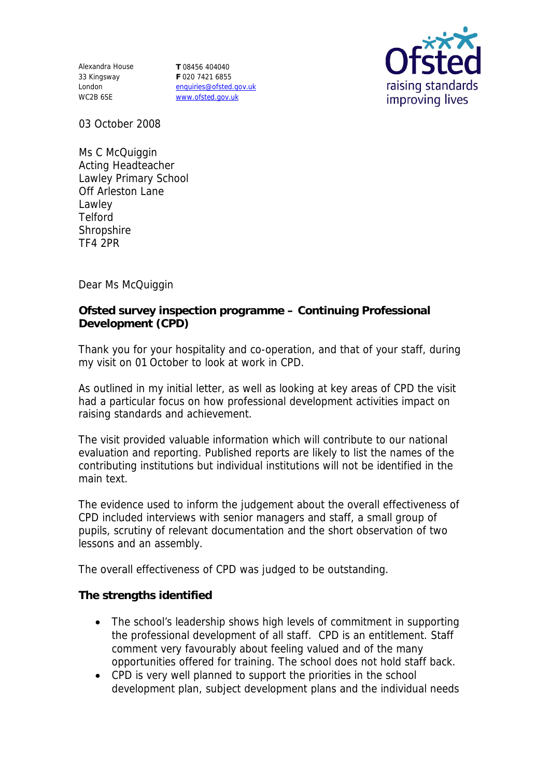Alexandra House 33 Kingsway London WC2B 6SE

**T** 08456 404040 **F** 020 7421 6855 enquiries@ofsted.gov.uk www.ofsted.gov.uk



03 October 2008

Ms C McQuiggin Acting Headteacher Lawley Primary School Off Arleston Lane Lawley Telford **Shropshire** TF4 2PR

Dear Ms McQuiggin

**Ofsted survey inspection programme – Continuing Professional Development (CPD)**

Thank you for your hospitality and co-operation, and that of your staff, during my visit on 01 October to look at work in CPD.

As outlined in my initial letter, as well as looking at key areas of CPD the visit had a particular focus on how professional development activities impact on raising standards and achievement.

The visit provided valuable information which will contribute to our national evaluation and reporting. Published reports are likely to list the names of the contributing institutions but individual institutions will not be identified in the main text.

The evidence used to inform the judgement about the overall effectiveness of CPD included interviews with senior managers and staff, a small group of pupils, scrutiny of relevant documentation and the short observation of two lessons and an assembly.

The overall effectiveness of CPD was judged to be outstanding.

**The strengths identified**

- The school's leadership shows high levels of commitment in supporting the professional development of all staff. CPD is an entitlement. Staff comment very favourably about feeling valued and of the many opportunities offered for training. The school does not hold staff back.
- CPD is very well planned to support the priorities in the school development plan, subject development plans and the individual needs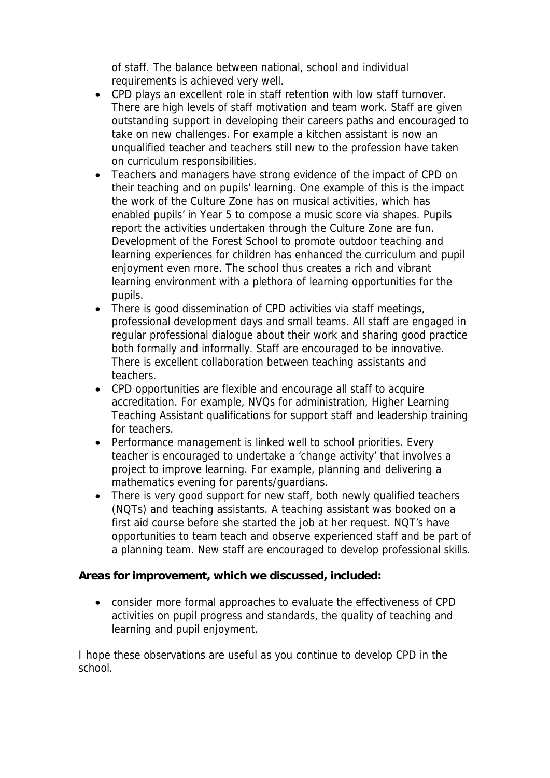of staff. The balance between national, school and individual requirements is achieved very well.

- CPD plays an excellent role in staff retention with low staff turnover. There are high levels of staff motivation and team work. Staff are given outstanding support in developing their careers paths and encouraged to take on new challenges. For example a kitchen assistant is now an unqualified teacher and teachers still new to the profession have taken on curriculum responsibilities.
- Teachers and managers have strong evidence of the impact of CPD on their teaching and on pupils' learning. One example of this is the impact the work of the Culture Zone has on musical activities, which has enabled pupils' in Year 5 to compose a music score via shapes. Pupils report the activities undertaken through the Culture Zone are fun. Development of the Forest School to promote outdoor teaching and learning experiences for children has enhanced the curriculum and pupil enjoyment even more. The school thus creates a rich and vibrant learning environment with a plethora of learning opportunities for the pupils.
- There is good dissemination of CPD activities via staff meetings, professional development days and small teams. All staff are engaged in regular professional dialogue about their work and sharing good practice both formally and informally. Staff are encouraged to be innovative. There is excellent collaboration between teaching assistants and teachers.
- CPD opportunities are flexible and encourage all staff to acquire accreditation. For example, NVQs for administration, Higher Learning Teaching Assistant qualifications for support staff and leadership training for teachers.
- Performance management is linked well to school priorities. Every teacher is encouraged to undertake a 'change activity' that involves a project to improve learning. For example, planning and delivering a mathematics evening for parents/guardians.
- There is very good support for new staff, both newly qualified teachers (NQTs) and teaching assistants. A teaching assistant was booked on a first aid course before she started the job at her request. NQT's have opportunities to team teach and observe experienced staff and be part of a planning team. New staff are encouraged to develop professional skills.

**Areas for improvement, which we discussed, included:**

 consider more formal approaches to evaluate the effectiveness of CPD activities on pupil progress and standards, the quality of teaching and learning and pupil enjoyment.

I hope these observations are useful as you continue to develop CPD in the school.